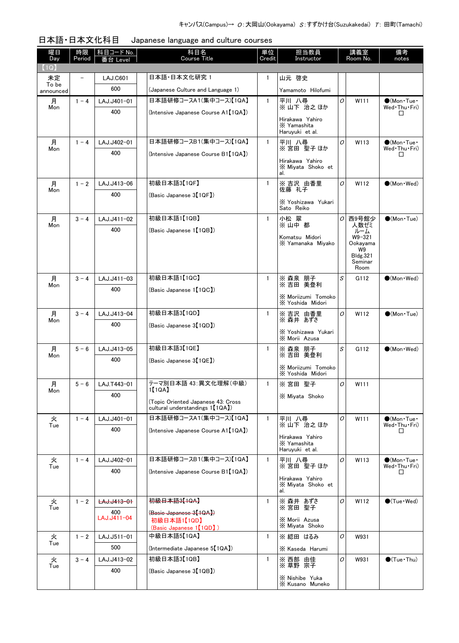| 曜日<br>Day          | 時限<br>Period             | 科目コード No.<br>番台 Level | 科目名<br><b>Course Title</b>                                             | 単位<br>Credit | 担当教員<br>Instructor                          |   | 講義室<br>Room No.            | 備考<br>notes                                 |
|--------------------|--------------------------|-----------------------|------------------------------------------------------------------------|--------------|---------------------------------------------|---|----------------------------|---------------------------------------------|
| (1Q)               |                          |                       |                                                                        |              |                                             |   |                            |                                             |
| 未定                 | $\overline{\phantom{0}}$ | <b>LAJ.C601</b>       | 日本語·日本文化研究 1                                                           | $\mathbf{1}$ | 山元 啓史                                       |   |                            |                                             |
| To be<br>announced |                          | 600                   | (Japanese Culture and Language 1)                                      |              | Yamamoto Hilofumi                           |   |                            |                                             |
| 月                  | $1 - 4$                  | LAJ.J401-01           | 日本語研修コースA1(集中コース)【1QA】                                                 | $\mathbf{1}$ | 平川 八尋<br>※山下 治之ほか                           | 0 | W111                       | $\bigcirc$ (Mon Tue $\cdot$<br>Wed Thu Fri) |
| Mon                |                          | 400                   | (Intensive Japanese Course A1【1QA】)                                    |              | Hirakawa Yahiro                             |   |                            | П                                           |
|                    |                          |                       |                                                                        |              | X Yamashita<br>Haruyuki et al.              |   |                            |                                             |
| 月<br>Mon           | $1 - 4$                  | LAJ.J402-01           | 日本語研修コースB1(集中コース)【1QA】                                                 | $\mathbf{1}$ | 平川 八尋<br>※宮田 聖子ほか                           | 0 | W113                       | $\bigcirc$ (Mon Tue $\cdot$<br>Wed Thu Fri) |
|                    |                          | 400                   | (Intensive Japanese Course B1【1QA】)                                    |              | Hirakawa Yahiro<br>X Miyata Shoko et<br>al. |   |                            | □                                           |
| 月<br>Mon           | $1 - 2$                  | LAJ.J413-06           | 初級日本語3【1QF】                                                            | $\mathbf{1}$ | ※ 吉沢 由香里<br>佐藤 礼子                           | 0 | W112                       | $(Mon \cdot Wed)$                           |
|                    |                          | 400                   | (Basic Japanese 3【1QF】)                                                |              | X Yoshizawa Yukari                          |   |                            |                                             |
|                    |                          |                       |                                                                        |              | Sato Reiko                                  |   |                            |                                             |
| 月<br>Mon           | $3 - 4$                  | LAJ.J411-02           | 初級日本語1【1QB】                                                            | $\mathbf{1}$ | 小松 翠<br>※山中 都                               | 0 | 西9号館少<br>人数ゼミ              | $(Mon$ Tue)                                 |
|                    |                          | 400                   | (Basic Japanese 1【1QB】)                                                |              | Komatsu Midori                              |   | ルーム<br>W9-321              |                                             |
|                    |                          |                       |                                                                        |              | X Yamanaka Miyako                           |   | Ookayama<br>W9             |                                             |
|                    |                          |                       |                                                                        |              |                                             |   | <b>Bldg.321</b><br>Seminar |                                             |
|                    |                          |                       |                                                                        |              |                                             |   | Room                       |                                             |
| 月<br>Mon           | $3 - 4$                  | LAJ.J411-03<br>400    | 初級日本語1【1QC】                                                            | $\mathbf{1}$ | ※ 森泉 朋子<br>※吉田 美登利                          | S | G112                       | $\bigcirc$ (Mon · Wed)                      |
|                    |                          |                       | (Basic Japanese 1【1QC】)                                                |              | X Moriizumi Tomoko<br>X Yoshida Midori      |   |                            |                                             |
| 月<br>Mon           | $3 - 4$                  | LAJ.J413-04           | 初級日本語3【1QD】                                                            | 1            | ※吉沢 由香里<br>※ 森井 あずさ                         | 0 | W112                       | $\bullet$ (Mon Tue)                         |
|                    |                          | 400                   | (Basic Japanese 3【1QD】)                                                |              | X Yoshizawa Yukari                          |   |                            |                                             |
|                    |                          |                       |                                                                        |              | X Morii Azusa                               |   |                            |                                             |
| 月<br>Mon           | $5 - 6$                  | LAJ.J413-05           | 初級日本語3【1QE】                                                            | $\mathbf{1}$ | ※ 森泉 朋子<br>※吉田 美登利                          | S | G112                       | $\bigcirc$ (Mon · Wed)                      |
|                    |                          | 400                   | (Basic Japanese 3【1QE】)                                                |              | X Moriizumi Tomoko                          |   |                            |                                             |
|                    |                          |                       |                                                                        |              | X Yoshida Midori                            |   |                            |                                             |
| 月<br>Mon           | $5 - 6$                  | LAJ.T443-01           | テーマ別日本語 43: 異文化理解(中級)<br>1【1QA】                                        | $\mathbf{1}$ | ※宮田 聖子                                      | 0 | W111                       |                                             |
|                    |                          | 400                   | (Topic Oriented Japanese 43: Cross<br>cultural understandings 1 [1QA]) |              | X Miyata Shoko                              |   |                            |                                             |
| 火<br>Tue           | $1 - 4$                  | LAJ.J401-01           | 日本語研修コースA1(集中コース)【1QA】                                                 | $\mathbf{1}$ | 平川八尋<br>※山下 治之ほか                            | 0 | W111                       | $\bigcirc$ (Mon Tue $\cdot$<br>Wed Thu Fri) |
|                    |                          | 400                   | (Intensive Japanese Course A1【1QA】)                                    |              | Hirakawa Yahiro                             |   |                            | □                                           |
|                    |                          |                       |                                                                        |              | X Yamashita<br>Haruyuki et al.              |   |                            |                                             |
| 火                  | $1 - 4$                  | LAJ.J402-01           | 日本語研修コースB1(集中コース)【1QA】                                                 | $\mathbf{1}$ | 平川 八尋                                       | O | W113                       | $\bullet$ (Mon·Tue·                         |
| Tue                |                          | 400                   | (Intensive Japanese Course B1【1QA】)                                    |              | ※宮田 聖子ほか                                    |   |                            | Wed Thu Fri)<br>□                           |
|                    |                          |                       |                                                                        |              | Hirakawa Yahiro<br>X Miyata Shoko et<br>al. |   |                            |                                             |
| 火<br>Tue           | $1 - 2$                  | LAJ.J413-01           | <del>初級日本語3【1QA】</del>                                                 | 1            | ※ 森井 あずさ<br>※宮田 聖子                          | O | W112                       | $\bullet$ (Tue $\cdot$ Wed)                 |
|                    |                          | 400<br>LAJ.J411-04    | (Basic Japanese 3【1QA】)<br>初級日本語1【1QD】                                 |              | X Morii Azusa                               |   |                            |                                             |
|                    |                          |                       | (Basic Japanese 1【1QD】)                                                |              | X Miyata Shoko                              |   |                            |                                             |
| 火<br>Tue           | $1 - 2$                  | LAJ.J511-01           | 中級日本語5【1QA】                                                            | $\mathbf{1}$ | ※ 綛田 はるみ                                    | 0 | W931                       |                                             |
|                    |                          | 500                   | (Intermediate Japanese 5 <sup>[1QA]</sup> )                            |              | X Kaseda Harumi                             |   |                            |                                             |
| 火<br>Tue           | $3 - 4$                  | LAJ.J413-02           | 初級日本語3【1QB】                                                            | $\mathbf{1}$ | ※ 西部 由佳<br>※ 草野 宗子                          | O | W931                       | $\bigcirc$ (Tue · Thu)                      |
|                    |                          | 400                   | (Basic Japanese 3【1QB】)                                                |              | X Nishibe Yuka                              |   |                            |                                             |
|                    |                          |                       |                                                                        |              | X Kusano Muneko                             |   |                            |                                             |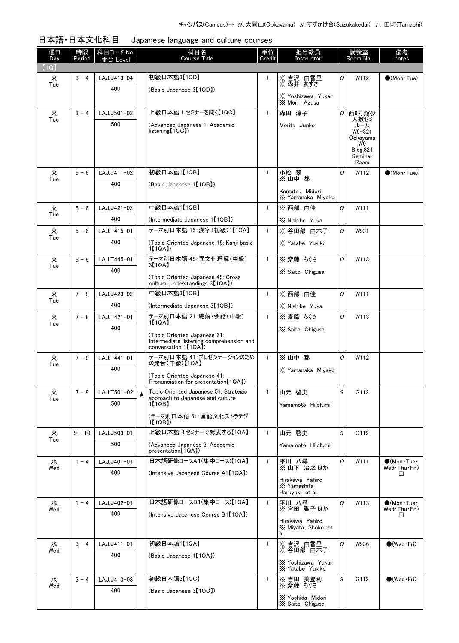| 初級日本語3【1QD】<br>火<br>$3 - 4$<br>LAJ.J413-04<br>※ 吉沢 由香里<br>O<br>W112<br>$\bullet$ (Mon Tue)<br>1.<br>※ 森井 あずさ<br>Tue<br>400<br>(Basic Japanese 3【1QD】)<br>X Yoshizawa Yukari<br>X Morii Azusa<br>上級日本語 1:セミナーを聞く【1QC】<br>西9号館少<br>火<br>$3 - 4$<br>$\mathbf{1}$<br>森田 淳子<br>0<br>LAJ.J501-03<br>人数ゼミ<br>Tue<br>500<br>(Advanced Japanese 1: Academic<br>Morita Junko<br>ルーム<br>listening[1QC])<br>W9-321<br>Ookayama<br>W9<br>Bldg.321<br>Seminar<br>Room<br>初級日本語1【1QB】<br>火<br>$\mathbf{1}$<br>小松 翠<br>$5 - 6$<br>LAJ.J411-02<br>O<br>W112<br>$(Mon\cdot Tue)$<br>※山中 都<br>Tue<br>400<br>(Basic Japanese 1【1QB】)<br>Komatsu Midori<br>X Yamanaka Miyako<br>中級日本語1【1QB】<br>※ 西部 由佳<br>O<br>火<br>$5 - 6$<br>LAJ.J421-02<br>$\mathbf{1}$<br>W111<br>Tue<br>400<br>(Intermediate Japanese 1【1QB】)<br>X Nishibe Yuka<br>テーマ別日本語 15:漢字(初級)1【1QA】<br>$\mathbf{1}$<br>火<br>$5 - 6$<br>LAJ.T415-01<br>※ 谷田部 由木子<br>0<br>W931<br>Tue<br>400<br>(Topic Oriented Japanese 15: Kanji basic<br>X Yatabe Yukiko<br>1[1QA]<br>テーマ別日本語 45:異文化理解(中級)<br>O<br>※ 斎藤 ちぐさ<br>火<br>$\mathbf{1}$<br>W113<br>$5 - 6$<br>LAJ.T445-01<br>3[1QA]<br>Tue<br>400<br>X Saito Chigusa<br>(Topic Oriented Japanese 45: Cross)<br>cultural understandings 3 <sup>[1QA]</sup> )<br>中級日本語3【1QB】<br>※ 西部 由佳<br>O<br>火<br>$7 - 8$<br>$\mathbf{1}$<br>W111<br>LAJ.J423-02<br>Tue<br>400<br>(Intermediate Japanese 3【1QB】)<br>X Nishibe Yuka<br>テーマ別日本語 21:聴解・会話(中級)<br>O<br>火<br>$7 - 8$<br>LAJ.T421-01<br>$\mathbf{1}$<br>※ 斎藤 ちぐさ<br>W113<br>1[1QA]<br>Tue<br>400<br>X Saito Chigusa<br>(Topic Oriented Japanese 21:<br>Intermediate listening comprehension and<br>conversation 1【1QA】<br>テーマ別日本語 41: プレゼンテーションのため<br>$\overline{O}$<br>$7 - 8$<br>LAJ.T441-01<br>$\mathbf{1}$<br>火<br>※山中 都<br>W112<br>の発音(中級)【1QA】<br>Tue<br>400<br>X Yamanaka Miyako<br>(Topic Oriented Japanese 41:<br>Pronunciation for presentation [1QA])<br>Topic Oriented Japanese 51: Strategic<br>S<br>火<br>$7 - 8$<br>山元 啓史<br>G112<br>LAJ.T501-02<br>$\mathbf{1}$<br>approach to Japanese and culture<br>Tue<br>500<br>1【1QB】<br>Yamamoto Hilofumi<br>(テーマ別日本語 51:言語文化ストラテジ<br>$1$ [ $1$ QB] $)$<br>上級日本語 3:セミナーで発表する【1QA】<br>S<br>$\mathbf{1}$<br>山元 啓史<br>火<br>$9 - 10$<br>LAJ.J503-01<br>G112<br>Tue<br>500<br>(Advanced Japanese 3: Academic<br>Yamamoto Hilofumi<br>presentation [1QA])<br>日本語研修コースA1(集中コース)【1QA】<br>水<br>O<br>$1 - 4$<br>LAJ.J401-01<br>$\mathbf{1}$<br>平川 八尋<br>$\bigcirc$ (Mon Tue $\cdot$<br>W111<br>※山下 治之ほか<br>Wed Thu Fri)<br>Wed<br>400<br>(Intensive Japanese Course A1【1QA】)<br>□<br>Hirakawa Yahiro<br>X Yamashita<br>Haruyuki et al.<br>日本語研修コースB1(集中コース)【1QA】<br>O<br>水<br>$\mathbf{1}$<br>W113<br>$\bigcirc$ (Mon Tue $\cdot$<br>$1 - 4$<br>LAJ.J402-01<br>平川 八尋<br>※宮田 聖子 ほか<br>Wed Thu Fri)<br>Wed<br>400<br>(Intensive Japanese Course B1 [1QA])<br>□<br>Hirakawa Yahiro<br>X Miyata Shoko et<br>al.<br>初級日本語1【1QA】<br>水<br>$\mathbf{1}$<br>※ 吉沢 由香里<br>0<br>$\bullet$ (Wed $\cdot$ Fri)<br>$3 - 4$<br>LAJ.J411-01<br>W936<br>※ 谷田部 由木子<br>Wed<br>400<br>(Basic Japanese 1【1QA】)<br>X Yoshizawa Yukari<br>X Yatabe Yukiko<br>初級日本語3【1QC】<br>S<br>水<br>$\mathbf{1}$<br>※ 吉田 美登利<br>G112<br>$\bigcirc$ (Wed Fri)<br>$3 - 4$<br>LAJ.J413-03<br>※ 斎藤 ちぐさ<br>Wed<br>400<br>(Basic Japanese 3【1QC】)<br>X Yoshida Midori<br>X Saito Chigusa | 曜日<br>Day | 時限<br>Period | │ 科目コード No.<br>≸台 Level | 科目名<br><b>Course Title</b> | 単位<br>Credit | 担当教員<br>Instructor | 講義室<br>Room No. | 備考<br>notes |
|---------------------------------------------------------------------------------------------------------------------------------------------------------------------------------------------------------------------------------------------------------------------------------------------------------------------------------------------------------------------------------------------------------------------------------------------------------------------------------------------------------------------------------------------------------------------------------------------------------------------------------------------------------------------------------------------------------------------------------------------------------------------------------------------------------------------------------------------------------------------------------------------------------------------------------------------------------------------------------------------------------------------------------------------------------------------------------------------------------------------------------------------------------------------------------------------------------------------------------------------------------------------------------------------------------------------------------------------------------------------------------------------------------------------------------------------------------------------------------------------------------------------------------------------------------------------------------------------------------------------------------------------------------------------------------------------------------------------------------------------------------------------------------------------------------------------------------------------------------------------------------------------------------------------------------------------------------------------------------------------------------------------------------------------------------------------------------------------------------------------------------------------------------------------------------------------------------------------------------------------------------------------------------------------------------------------------------------------------------------------------------------------------------------------------------------------------------------------------------------------------------------------------------------------------------------------------------------------------------------------------------------------------------------------------------------------------------------------------------------------------------------------------------------------------------------------------------------------------------------------------------------------------------------------------------------------------------------------------------------------------------------------------------------------------------------------------------------------------------------------------------------------------------------------------------------------------------------------------------------------------------------------------------------------------------------------|-----------|--------------|-------------------------|----------------------------|--------------|--------------------|-----------------|-------------|
|                                                                                                                                                                                                                                                                                                                                                                                                                                                                                                                                                                                                                                                                                                                                                                                                                                                                                                                                                                                                                                                                                                                                                                                                                                                                                                                                                                                                                                                                                                                                                                                                                                                                                                                                                                                                                                                                                                                                                                                                                                                                                                                                                                                                                                                                                                                                                                                                                                                                                                                                                                                                                                                                                                                                                                                                                                                                                                                                                                                                                                                                                                                                                                                                                                                                                                                     | (1Q)      |              |                         |                            |              |                    |                 |             |
|                                                                                                                                                                                                                                                                                                                                                                                                                                                                                                                                                                                                                                                                                                                                                                                                                                                                                                                                                                                                                                                                                                                                                                                                                                                                                                                                                                                                                                                                                                                                                                                                                                                                                                                                                                                                                                                                                                                                                                                                                                                                                                                                                                                                                                                                                                                                                                                                                                                                                                                                                                                                                                                                                                                                                                                                                                                                                                                                                                                                                                                                                                                                                                                                                                                                                                                     |           |              |                         |                            |              |                    |                 |             |
|                                                                                                                                                                                                                                                                                                                                                                                                                                                                                                                                                                                                                                                                                                                                                                                                                                                                                                                                                                                                                                                                                                                                                                                                                                                                                                                                                                                                                                                                                                                                                                                                                                                                                                                                                                                                                                                                                                                                                                                                                                                                                                                                                                                                                                                                                                                                                                                                                                                                                                                                                                                                                                                                                                                                                                                                                                                                                                                                                                                                                                                                                                                                                                                                                                                                                                                     |           |              |                         |                            |              |                    |                 |             |
|                                                                                                                                                                                                                                                                                                                                                                                                                                                                                                                                                                                                                                                                                                                                                                                                                                                                                                                                                                                                                                                                                                                                                                                                                                                                                                                                                                                                                                                                                                                                                                                                                                                                                                                                                                                                                                                                                                                                                                                                                                                                                                                                                                                                                                                                                                                                                                                                                                                                                                                                                                                                                                                                                                                                                                                                                                                                                                                                                                                                                                                                                                                                                                                                                                                                                                                     |           |              |                         |                            |              |                    |                 |             |
|                                                                                                                                                                                                                                                                                                                                                                                                                                                                                                                                                                                                                                                                                                                                                                                                                                                                                                                                                                                                                                                                                                                                                                                                                                                                                                                                                                                                                                                                                                                                                                                                                                                                                                                                                                                                                                                                                                                                                                                                                                                                                                                                                                                                                                                                                                                                                                                                                                                                                                                                                                                                                                                                                                                                                                                                                                                                                                                                                                                                                                                                                                                                                                                                                                                                                                                     |           |              |                         |                            |              |                    |                 |             |
|                                                                                                                                                                                                                                                                                                                                                                                                                                                                                                                                                                                                                                                                                                                                                                                                                                                                                                                                                                                                                                                                                                                                                                                                                                                                                                                                                                                                                                                                                                                                                                                                                                                                                                                                                                                                                                                                                                                                                                                                                                                                                                                                                                                                                                                                                                                                                                                                                                                                                                                                                                                                                                                                                                                                                                                                                                                                                                                                                                                                                                                                                                                                                                                                                                                                                                                     |           |              |                         |                            |              |                    |                 |             |
|                                                                                                                                                                                                                                                                                                                                                                                                                                                                                                                                                                                                                                                                                                                                                                                                                                                                                                                                                                                                                                                                                                                                                                                                                                                                                                                                                                                                                                                                                                                                                                                                                                                                                                                                                                                                                                                                                                                                                                                                                                                                                                                                                                                                                                                                                                                                                                                                                                                                                                                                                                                                                                                                                                                                                                                                                                                                                                                                                                                                                                                                                                                                                                                                                                                                                                                     |           |              |                         |                            |              |                    |                 |             |
|                                                                                                                                                                                                                                                                                                                                                                                                                                                                                                                                                                                                                                                                                                                                                                                                                                                                                                                                                                                                                                                                                                                                                                                                                                                                                                                                                                                                                                                                                                                                                                                                                                                                                                                                                                                                                                                                                                                                                                                                                                                                                                                                                                                                                                                                                                                                                                                                                                                                                                                                                                                                                                                                                                                                                                                                                                                                                                                                                                                                                                                                                                                                                                                                                                                                                                                     |           |              |                         |                            |              |                    |                 |             |
|                                                                                                                                                                                                                                                                                                                                                                                                                                                                                                                                                                                                                                                                                                                                                                                                                                                                                                                                                                                                                                                                                                                                                                                                                                                                                                                                                                                                                                                                                                                                                                                                                                                                                                                                                                                                                                                                                                                                                                                                                                                                                                                                                                                                                                                                                                                                                                                                                                                                                                                                                                                                                                                                                                                                                                                                                                                                                                                                                                                                                                                                                                                                                                                                                                                                                                                     |           |              |                         |                            |              |                    |                 |             |
|                                                                                                                                                                                                                                                                                                                                                                                                                                                                                                                                                                                                                                                                                                                                                                                                                                                                                                                                                                                                                                                                                                                                                                                                                                                                                                                                                                                                                                                                                                                                                                                                                                                                                                                                                                                                                                                                                                                                                                                                                                                                                                                                                                                                                                                                                                                                                                                                                                                                                                                                                                                                                                                                                                                                                                                                                                                                                                                                                                                                                                                                                                                                                                                                                                                                                                                     |           |              |                         |                            |              |                    |                 |             |
|                                                                                                                                                                                                                                                                                                                                                                                                                                                                                                                                                                                                                                                                                                                                                                                                                                                                                                                                                                                                                                                                                                                                                                                                                                                                                                                                                                                                                                                                                                                                                                                                                                                                                                                                                                                                                                                                                                                                                                                                                                                                                                                                                                                                                                                                                                                                                                                                                                                                                                                                                                                                                                                                                                                                                                                                                                                                                                                                                                                                                                                                                                                                                                                                                                                                                                                     |           |              |                         |                            |              |                    |                 |             |
|                                                                                                                                                                                                                                                                                                                                                                                                                                                                                                                                                                                                                                                                                                                                                                                                                                                                                                                                                                                                                                                                                                                                                                                                                                                                                                                                                                                                                                                                                                                                                                                                                                                                                                                                                                                                                                                                                                                                                                                                                                                                                                                                                                                                                                                                                                                                                                                                                                                                                                                                                                                                                                                                                                                                                                                                                                                                                                                                                                                                                                                                                                                                                                                                                                                                                                                     |           |              |                         |                            |              |                    |                 |             |
|                                                                                                                                                                                                                                                                                                                                                                                                                                                                                                                                                                                                                                                                                                                                                                                                                                                                                                                                                                                                                                                                                                                                                                                                                                                                                                                                                                                                                                                                                                                                                                                                                                                                                                                                                                                                                                                                                                                                                                                                                                                                                                                                                                                                                                                                                                                                                                                                                                                                                                                                                                                                                                                                                                                                                                                                                                                                                                                                                                                                                                                                                                                                                                                                                                                                                                                     |           |              |                         |                            |              |                    |                 |             |
|                                                                                                                                                                                                                                                                                                                                                                                                                                                                                                                                                                                                                                                                                                                                                                                                                                                                                                                                                                                                                                                                                                                                                                                                                                                                                                                                                                                                                                                                                                                                                                                                                                                                                                                                                                                                                                                                                                                                                                                                                                                                                                                                                                                                                                                                                                                                                                                                                                                                                                                                                                                                                                                                                                                                                                                                                                                                                                                                                                                                                                                                                                                                                                                                                                                                                                                     |           |              |                         |                            |              |                    |                 |             |
|                                                                                                                                                                                                                                                                                                                                                                                                                                                                                                                                                                                                                                                                                                                                                                                                                                                                                                                                                                                                                                                                                                                                                                                                                                                                                                                                                                                                                                                                                                                                                                                                                                                                                                                                                                                                                                                                                                                                                                                                                                                                                                                                                                                                                                                                                                                                                                                                                                                                                                                                                                                                                                                                                                                                                                                                                                                                                                                                                                                                                                                                                                                                                                                                                                                                                                                     |           |              |                         |                            |              |                    |                 |             |
|                                                                                                                                                                                                                                                                                                                                                                                                                                                                                                                                                                                                                                                                                                                                                                                                                                                                                                                                                                                                                                                                                                                                                                                                                                                                                                                                                                                                                                                                                                                                                                                                                                                                                                                                                                                                                                                                                                                                                                                                                                                                                                                                                                                                                                                                                                                                                                                                                                                                                                                                                                                                                                                                                                                                                                                                                                                                                                                                                                                                                                                                                                                                                                                                                                                                                                                     |           |              |                         |                            |              |                    |                 |             |
|                                                                                                                                                                                                                                                                                                                                                                                                                                                                                                                                                                                                                                                                                                                                                                                                                                                                                                                                                                                                                                                                                                                                                                                                                                                                                                                                                                                                                                                                                                                                                                                                                                                                                                                                                                                                                                                                                                                                                                                                                                                                                                                                                                                                                                                                                                                                                                                                                                                                                                                                                                                                                                                                                                                                                                                                                                                                                                                                                                                                                                                                                                                                                                                                                                                                                                                     |           |              |                         |                            |              |                    |                 |             |
|                                                                                                                                                                                                                                                                                                                                                                                                                                                                                                                                                                                                                                                                                                                                                                                                                                                                                                                                                                                                                                                                                                                                                                                                                                                                                                                                                                                                                                                                                                                                                                                                                                                                                                                                                                                                                                                                                                                                                                                                                                                                                                                                                                                                                                                                                                                                                                                                                                                                                                                                                                                                                                                                                                                                                                                                                                                                                                                                                                                                                                                                                                                                                                                                                                                                                                                     |           |              |                         |                            |              |                    |                 |             |
|                                                                                                                                                                                                                                                                                                                                                                                                                                                                                                                                                                                                                                                                                                                                                                                                                                                                                                                                                                                                                                                                                                                                                                                                                                                                                                                                                                                                                                                                                                                                                                                                                                                                                                                                                                                                                                                                                                                                                                                                                                                                                                                                                                                                                                                                                                                                                                                                                                                                                                                                                                                                                                                                                                                                                                                                                                                                                                                                                                                                                                                                                                                                                                                                                                                                                                                     |           |              |                         |                            |              |                    |                 |             |
|                                                                                                                                                                                                                                                                                                                                                                                                                                                                                                                                                                                                                                                                                                                                                                                                                                                                                                                                                                                                                                                                                                                                                                                                                                                                                                                                                                                                                                                                                                                                                                                                                                                                                                                                                                                                                                                                                                                                                                                                                                                                                                                                                                                                                                                                                                                                                                                                                                                                                                                                                                                                                                                                                                                                                                                                                                                                                                                                                                                                                                                                                                                                                                                                                                                                                                                     |           |              |                         |                            |              |                    |                 |             |
|                                                                                                                                                                                                                                                                                                                                                                                                                                                                                                                                                                                                                                                                                                                                                                                                                                                                                                                                                                                                                                                                                                                                                                                                                                                                                                                                                                                                                                                                                                                                                                                                                                                                                                                                                                                                                                                                                                                                                                                                                                                                                                                                                                                                                                                                                                                                                                                                                                                                                                                                                                                                                                                                                                                                                                                                                                                                                                                                                                                                                                                                                                                                                                                                                                                                                                                     |           |              |                         |                            |              |                    |                 |             |
|                                                                                                                                                                                                                                                                                                                                                                                                                                                                                                                                                                                                                                                                                                                                                                                                                                                                                                                                                                                                                                                                                                                                                                                                                                                                                                                                                                                                                                                                                                                                                                                                                                                                                                                                                                                                                                                                                                                                                                                                                                                                                                                                                                                                                                                                                                                                                                                                                                                                                                                                                                                                                                                                                                                                                                                                                                                                                                                                                                                                                                                                                                                                                                                                                                                                                                                     |           |              |                         |                            |              |                    |                 |             |
|                                                                                                                                                                                                                                                                                                                                                                                                                                                                                                                                                                                                                                                                                                                                                                                                                                                                                                                                                                                                                                                                                                                                                                                                                                                                                                                                                                                                                                                                                                                                                                                                                                                                                                                                                                                                                                                                                                                                                                                                                                                                                                                                                                                                                                                                                                                                                                                                                                                                                                                                                                                                                                                                                                                                                                                                                                                                                                                                                                                                                                                                                                                                                                                                                                                                                                                     |           |              |                         |                            |              |                    |                 |             |
|                                                                                                                                                                                                                                                                                                                                                                                                                                                                                                                                                                                                                                                                                                                                                                                                                                                                                                                                                                                                                                                                                                                                                                                                                                                                                                                                                                                                                                                                                                                                                                                                                                                                                                                                                                                                                                                                                                                                                                                                                                                                                                                                                                                                                                                                                                                                                                                                                                                                                                                                                                                                                                                                                                                                                                                                                                                                                                                                                                                                                                                                                                                                                                                                                                                                                                                     |           |              |                         |                            |              |                    |                 |             |
|                                                                                                                                                                                                                                                                                                                                                                                                                                                                                                                                                                                                                                                                                                                                                                                                                                                                                                                                                                                                                                                                                                                                                                                                                                                                                                                                                                                                                                                                                                                                                                                                                                                                                                                                                                                                                                                                                                                                                                                                                                                                                                                                                                                                                                                                                                                                                                                                                                                                                                                                                                                                                                                                                                                                                                                                                                                                                                                                                                                                                                                                                                                                                                                                                                                                                                                     |           |              |                         |                            |              |                    |                 |             |
|                                                                                                                                                                                                                                                                                                                                                                                                                                                                                                                                                                                                                                                                                                                                                                                                                                                                                                                                                                                                                                                                                                                                                                                                                                                                                                                                                                                                                                                                                                                                                                                                                                                                                                                                                                                                                                                                                                                                                                                                                                                                                                                                                                                                                                                                                                                                                                                                                                                                                                                                                                                                                                                                                                                                                                                                                                                                                                                                                                                                                                                                                                                                                                                                                                                                                                                     |           |              |                         |                            |              |                    |                 |             |
|                                                                                                                                                                                                                                                                                                                                                                                                                                                                                                                                                                                                                                                                                                                                                                                                                                                                                                                                                                                                                                                                                                                                                                                                                                                                                                                                                                                                                                                                                                                                                                                                                                                                                                                                                                                                                                                                                                                                                                                                                                                                                                                                                                                                                                                                                                                                                                                                                                                                                                                                                                                                                                                                                                                                                                                                                                                                                                                                                                                                                                                                                                                                                                                                                                                                                                                     |           |              |                         |                            |              |                    |                 |             |
|                                                                                                                                                                                                                                                                                                                                                                                                                                                                                                                                                                                                                                                                                                                                                                                                                                                                                                                                                                                                                                                                                                                                                                                                                                                                                                                                                                                                                                                                                                                                                                                                                                                                                                                                                                                                                                                                                                                                                                                                                                                                                                                                                                                                                                                                                                                                                                                                                                                                                                                                                                                                                                                                                                                                                                                                                                                                                                                                                                                                                                                                                                                                                                                                                                                                                                                     |           |              |                         |                            |              |                    |                 |             |
|                                                                                                                                                                                                                                                                                                                                                                                                                                                                                                                                                                                                                                                                                                                                                                                                                                                                                                                                                                                                                                                                                                                                                                                                                                                                                                                                                                                                                                                                                                                                                                                                                                                                                                                                                                                                                                                                                                                                                                                                                                                                                                                                                                                                                                                                                                                                                                                                                                                                                                                                                                                                                                                                                                                                                                                                                                                                                                                                                                                                                                                                                                                                                                                                                                                                                                                     |           |              |                         |                            |              |                    |                 |             |
|                                                                                                                                                                                                                                                                                                                                                                                                                                                                                                                                                                                                                                                                                                                                                                                                                                                                                                                                                                                                                                                                                                                                                                                                                                                                                                                                                                                                                                                                                                                                                                                                                                                                                                                                                                                                                                                                                                                                                                                                                                                                                                                                                                                                                                                                                                                                                                                                                                                                                                                                                                                                                                                                                                                                                                                                                                                                                                                                                                                                                                                                                                                                                                                                                                                                                                                     |           |              |                         |                            |              |                    |                 |             |
|                                                                                                                                                                                                                                                                                                                                                                                                                                                                                                                                                                                                                                                                                                                                                                                                                                                                                                                                                                                                                                                                                                                                                                                                                                                                                                                                                                                                                                                                                                                                                                                                                                                                                                                                                                                                                                                                                                                                                                                                                                                                                                                                                                                                                                                                                                                                                                                                                                                                                                                                                                                                                                                                                                                                                                                                                                                                                                                                                                                                                                                                                                                                                                                                                                                                                                                     |           |              |                         |                            |              |                    |                 |             |
|                                                                                                                                                                                                                                                                                                                                                                                                                                                                                                                                                                                                                                                                                                                                                                                                                                                                                                                                                                                                                                                                                                                                                                                                                                                                                                                                                                                                                                                                                                                                                                                                                                                                                                                                                                                                                                                                                                                                                                                                                                                                                                                                                                                                                                                                                                                                                                                                                                                                                                                                                                                                                                                                                                                                                                                                                                                                                                                                                                                                                                                                                                                                                                                                                                                                                                                     |           |              |                         |                            |              |                    |                 |             |
|                                                                                                                                                                                                                                                                                                                                                                                                                                                                                                                                                                                                                                                                                                                                                                                                                                                                                                                                                                                                                                                                                                                                                                                                                                                                                                                                                                                                                                                                                                                                                                                                                                                                                                                                                                                                                                                                                                                                                                                                                                                                                                                                                                                                                                                                                                                                                                                                                                                                                                                                                                                                                                                                                                                                                                                                                                                                                                                                                                                                                                                                                                                                                                                                                                                                                                                     |           |              |                         |                            |              |                    |                 |             |
|                                                                                                                                                                                                                                                                                                                                                                                                                                                                                                                                                                                                                                                                                                                                                                                                                                                                                                                                                                                                                                                                                                                                                                                                                                                                                                                                                                                                                                                                                                                                                                                                                                                                                                                                                                                                                                                                                                                                                                                                                                                                                                                                                                                                                                                                                                                                                                                                                                                                                                                                                                                                                                                                                                                                                                                                                                                                                                                                                                                                                                                                                                                                                                                                                                                                                                                     |           |              |                         |                            |              |                    |                 |             |
|                                                                                                                                                                                                                                                                                                                                                                                                                                                                                                                                                                                                                                                                                                                                                                                                                                                                                                                                                                                                                                                                                                                                                                                                                                                                                                                                                                                                                                                                                                                                                                                                                                                                                                                                                                                                                                                                                                                                                                                                                                                                                                                                                                                                                                                                                                                                                                                                                                                                                                                                                                                                                                                                                                                                                                                                                                                                                                                                                                                                                                                                                                                                                                                                                                                                                                                     |           |              |                         |                            |              |                    |                 |             |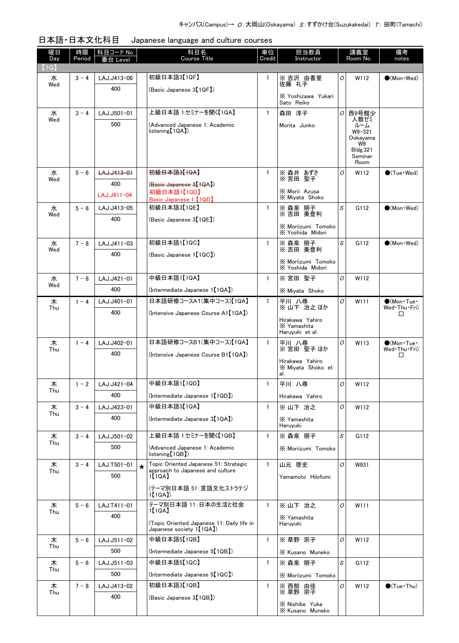| 日本語・日本文化科目 Japanese language and culture courses |
|--------------------------------------------------|

| 曜日<br>Day | 時限<br>Period | │科目コード No. │<br>番台 Level |         | 科目名<br><b>Course Title</b>                                                | 単位<br>Credit | 担当教員<br>Instructor                                |                | 講義室<br>Room No.                                                               | 備考<br>notes                 |
|-----------|--------------|--------------------------|---------|---------------------------------------------------------------------------|--------------|---------------------------------------------------|----------------|-------------------------------------------------------------------------------|-----------------------------|
| [1Q]      |              |                          |         |                                                                           |              |                                                   |                |                                                                               |                             |
| 水<br>Wed  | $3 - 4$      | LAJ.J413-06              |         | 初級日本語3【1QF】                                                               | 1            | ※吉沢 由香里<br>佐藤 礼子                                  | 0              | W112                                                                          | $\bigcirc$ (Mon · Wed)      |
|           |              | 400                      |         | (Basic Japanese 3【1QF】)                                                   |              | X Yoshizawa Yukari<br>Sato Reiko                  |                |                                                                               |                             |
| 水         | $3 - 4$      | LAJ.J501-01              |         | 上級日本語 1:セミナーを聞く【1QA】                                                      | $\mathbf{1}$ | 森田 淳子                                             | O              | 西9号館少                                                                         |                             |
| Wed       |              | 500                      |         | (Advanced Japanese 1: Academic<br>listening[1QA])                         |              | Morita Junko                                      |                | 人数ゼミ<br>ルーム<br>W9-321<br>Ookayama<br>W9<br><b>Bldg.321</b><br>Seminar<br>Room |                             |
| 水         | $5 - 6$      | LAJ.J413-01              |         | 初級日本語3【1QA】                                                               | $\mathbf{1}$ | ※ 森井 あずさ<br>※ 宮田 聖子                               | O              | W112                                                                          | $\bigcirc$ (Tue · Wed)      |
| Wed       |              | 400                      |         | (Basic Japanese 3【1QA】)                                                   |              |                                                   |                |                                                                               |                             |
|           |              | LAJ.J411-04              |         | 初級日本語1【1QD】<br>Basic Japanese 1 【1QD】                                     |              | X Morii Azusa<br>X Miyata Shoko                   |                |                                                                               |                             |
| 水         | $5 - 6$      | LAJ.J413-05              |         | 初級日本語3【1QE】                                                               | $\mathbf{1}$ | ※ 森泉 朋子<br>※ 吉田 美登利                               | S              | G112                                                                          | $(Mon \cdot Wed)$           |
| Wed       |              | 400                      |         | (Basic Japanese 3【1QE】)                                                   |              |                                                   |                |                                                                               |                             |
|           |              |                          |         |                                                                           |              | X Moriizumi Tomoko<br>X Yoshida Midori            |                |                                                                               |                             |
| 水<br>Wed  | $7 - 8$      | LAJ.J411-03              |         | 初級日本語1【1QC】                                                               | $\mathbf{1}$ | ※ 森泉 朋子<br>※吉田 美登利                                | S              | G112                                                                          | $\bigcirc$ (Mon · Wed)      |
|           |              | 400                      |         | (Basic Japanese 1【1QC】)                                                   |              | X Moriizumi Tomoko<br>X Yoshida Midori            |                |                                                                               |                             |
| 水         | $7 - 8$      | LAJ.J421-01              |         | 中級日本語1【1QA】                                                               | $\mathbf{1}$ | ※ 宮田 聖子                                           | O              | W112                                                                          |                             |
| Wed       |              | 400                      |         | (Intermediate Japanese 1【1QA】)                                            |              | X Miyata Shoko                                    |                |                                                                               |                             |
| 木         | $1 - 4$      | LAJ.J401-01              |         | 日本語研修コースA1(集中コース)【1QA】                                                    | $\mathbf{1}$ | 平川 八尋                                             | O              | W <sub>111</sub>                                                              | $\bigcirc$ (Mon Tue $\cdot$ |
| Thu       |              | 400                      |         | (Intensive Japanese Course A1 [1QA])                                      |              | ※山下 治之ほか                                          |                |                                                                               | Wed Thu Fri)<br>□           |
|           |              |                          |         |                                                                           |              | Hirakawa Yahiro<br>X Yamashita<br>Haruyuki et al. |                |                                                                               |                             |
| 木         | $1 - 4$      | LAJ.J402-01              |         | 日本語研修コースB1(集中コース)【1QA】                                                    | $\mathbf{1}$ | 平川 八尋                                             | O              | W113                                                                          | $\bigcirc$ (Mon Tue $\cdot$ |
| Thu       |              | 400                      |         | (Intensive Japanese Course B1【1QA】)                                       |              | ※ 宮田 聖子 ほか                                        |                |                                                                               | Wed Thu Fri)<br>□           |
|           |              |                          |         |                                                                           |              | Hirakawa Yahiro<br>X Mivata Shoko et<br>al.       |                |                                                                               |                             |
| 木         | $1 - 2$      | LAJ.J421-04              |         | 中級日本語1【1QD】                                                               | $\mathbf{1}$ | 平川 八尋                                             | 0              | W112                                                                          |                             |
| Thu       |              | 400                      |         | (Intermediate Japanese 1【1QD】)                                            |              | Hirakawa Yahiro                                   |                |                                                                               |                             |
| 木         | $3 - 4$      | LAJ.J423-01              |         | 中級日本語3【1QA】                                                               | $\mathbf{1}$ | ※山下 治之                                            | O              | W112                                                                          |                             |
| Thu       |              | 400                      |         | (Intermediate Japanese 3 <sup>[1QA])</sup>                                |              | X Yamashita<br>Haruyuki                           |                |                                                                               |                             |
| 木         | $3 - 4$      | LAJ.J501-02              |         | 上級日本語 1:セミナーを聞く【1QB】                                                      | $\mathbf{1}$ | ※ 森泉 朋子                                           | S              | G112                                                                          |                             |
| Thu       |              | 500                      |         | (Advanced Japanese 1: Academic<br>listening[1QB])                         |              | X Moriizumi Tomoko                                |                |                                                                               |                             |
| 木<br>Thu  | $3 - 4$      | LAJ.T501-01              | $\star$ | Topic Oriented Japanese 51: Strategic<br>approach to Japanese and culture | $\mathbf{1}$ | 山元 啓史                                             | $\mathcal{O}$  | W931                                                                          |                             |
|           |              | 500                      |         | 1【1QA】                                                                    |              | Yamamoto Hilofumi                                 |                |                                                                               |                             |
|           |              |                          |         | (テーマ別日本語 51:言語文化ストラテジ<br>1[1QA]                                           |              |                                                   |                |                                                                               |                             |
| 木<br>Thu  | $5 - 6$      | LAJ.T411-01              |         | テーマ別日本語 11:日本の生活と社会<br>1【1QA】                                             | $\mathbf{1}$ | ※山下 治之                                            | O              | W111                                                                          |                             |
|           |              | 400                      |         | (Topic Oriented Japanese 11: Daily life in<br>Japanese society 1【1QA】)    |              | X Yamashita<br>Haruyuki                           |                |                                                                               |                             |
| 木         | $5 - 6$      | LAJ.J511-02              |         | 中級日本語5【1QB】                                                               | $\mathbf{1}$ | ※ 草野 宗子                                           | $\overline{O}$ | W112                                                                          |                             |
| Thu       |              | 500                      |         | (Intermediate Japanese 5 <sup>[1QB])</sup>                                |              | X Kusano Muneko                                   |                |                                                                               |                             |
| 木         | $5 - 6$      | LAJ.J511-03              |         | 中級日本語5【1QC】                                                               | $\mathbf{1}$ | ※ 森泉 朋子                                           | S              | G112                                                                          |                             |
| Thu       |              | 500                      |         | (Intermediate Japanese 5 <sup>[1QC]</sup> )                               |              | X Moriizumi Tomoko                                |                |                                                                               |                             |
| 木         | $7 - 8$      | LAJ.J413-02              |         | 初級日本語3【1QB】                                                               | 1            | ※ 西部 由佳<br>※ 草野 宗子                                | 0              | W112                                                                          | $\bullet$ (Tue · Thu)       |
| Thu       |              | 400                      |         | (Basic Japanese 3【1QB】)                                                   |              |                                                   |                |                                                                               |                             |
|           |              |                          |         |                                                                           |              | X Nishibe Yuka<br>X Kusano Muneko                 |                |                                                                               |                             |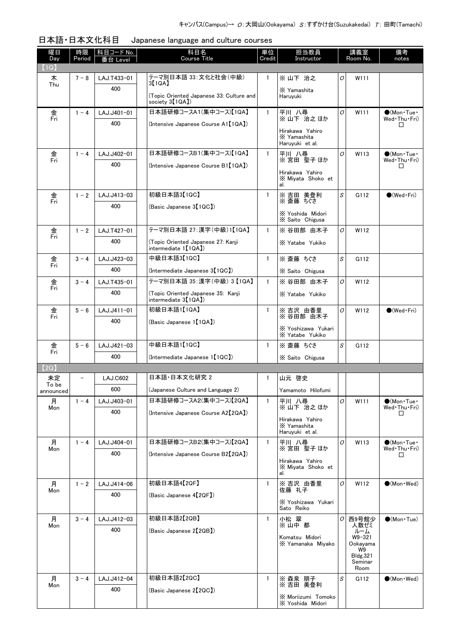| 曜日<br>Day               | 時限<br>Period | 科目コード No.  <br>番台 Level | 科目名<br><b>Course Title</b>                                             | 単位<br>Credit | 担当教員<br>Instructor                                |   | 講義室<br>Room No.    | 備考<br>notes                                 |
|-------------------------|--------------|-------------------------|------------------------------------------------------------------------|--------------|---------------------------------------------------|---|--------------------|---------------------------------------------|
| $\left(1{\sf Q}\right)$ |              |                         |                                                                        |              |                                                   |   |                    |                                             |
| 木<br>Thu                | $7 - 8$      | LAJ.T433-01             | テーマ別日本語 33: 文化と社会(中級)<br>3【1QA】                                        | 1            | ※ 山下 治之                                           | O | W111               |                                             |
|                         |              | 400                     | (Topic Oriented Japanese 33: Culture and<br>society 3 <sup>[1QA]</sup> |              | X Yamashita<br>Haruyuki                           |   |                    |                                             |
| 金                       | $1 - 4$      | LAJ.J401-01             | 日本語研修コースA1(集中コース)【1QA】                                                 | $\mathbf{1}$ | 平川 八尋                                             | O | W111               | $\bigcirc$ (Mon · Tue ·                     |
| Fri                     |              | 400                     | (Intensive Japanese Course A1【1QA】)                                    |              | ※山下 治之ほか                                          |   |                    | Wed Thu Fri)<br>□                           |
|                         |              |                         |                                                                        |              | Hirakawa Yahiro<br>X Yamashita<br>Haruyuki et al. |   |                    |                                             |
| 金                       | $1 - 4$      | LAJ.J402-01             | 日本語研修コースB1(集中コース)【1QA】                                                 | $\mathbf{1}$ | 平川 八尋                                             | O | W113               | $\bullet$ (Mon·Tue·                         |
| Fri                     |              | 400                     | (Intensive Japanese Course B1 [1QA])                                   |              | ※宮田 聖子ほか                                          |   |                    | Wed Thu Fri)<br>П                           |
|                         |              |                         |                                                                        |              | Hirakawa Yahiro<br>X Miyata Shoko et<br>al.       |   |                    |                                             |
| 金                       | $1 - 2$      | LAJ.J413-03             | 初級日本語3【1QC】                                                            | 1            | ※吉田 美登利                                           | S | G112               | $\bigcirc$ (Wed Fri)                        |
| Fri                     |              | 400                     | (Basic Japanese 3【1QC】)                                                |              | ※ 斎藤 ちぐさ                                          |   |                    |                                             |
|                         |              |                         |                                                                        |              | X Yoshida Midori<br>X Saito Chigusa               |   |                    |                                             |
| 金<br>Fri                | $1 - 2$      | LAJ.T427-01             | テーマ別日本語 27:漢字(中級)1【1QA】                                                | $\mathbf{1}$ | ※ 谷田部 由木子                                         | 0 | W112               |                                             |
|                         |              | 400                     | (Topic Oriented Japanese 27: Kanji<br>intermediate $1[1QA]$            |              | X Yatabe Yukiko                                   |   |                    |                                             |
| 金<br>Fri                | $3 - 4$      | LAJ.J423-03             | 中級日本語3【1QC】                                                            | $\mathbf{1}$ | ※ 斎藤 ちぐさ                                          | S | G112               |                                             |
|                         |              | 400                     | (Intermediate Japanese 3【1QC】)                                         |              | X Saito Chigusa                                   |   |                    |                                             |
| 金<br>Fri                | $3 - 4$      | LAJ.T435-01             | テーマ別日本語 35: 漢字 (中級) 3【1QA】                                             | $\mathbf{1}$ | ※ 谷田部 由木子                                         | O | W112               |                                             |
|                         |              | 400                     | (Topic Oriented Japanese 35: Kanji<br>intermediate $3[1QA]$            |              | X Yatabe Yukiko                                   |   |                    |                                             |
| 金<br>Fri                | $5 - 6$      | LAJ.J411-01             | 初級日本語1【1QA】                                                            | $\mathbf{1}$ | ※ 吉沢 由香里<br>※ 谷田部 由木子                             | O | W112               | $\bigcirc$ (Wed Fri)                        |
|                         |              | 400                     | (Basic Japanese 1【1QA】)                                                |              |                                                   |   |                    |                                             |
|                         |              |                         |                                                                        |              | X Yoshizawa Yukari<br>X Yatabe Yukiko             |   |                    |                                             |
| 金<br>Fri                | $5 - 6$      | LAJ.J421-03             | 中級日本語1【1QC】                                                            | $\mathbf{1}$ | ※ 斎藤 ちぐさ                                          | S | G112               |                                             |
|                         |              | 400                     | (Intermediate Japanese 1【1QC】)                                         |              | X Saito Chigusa                                   |   |                    |                                             |
| 【2Q】                    |              |                         |                                                                        |              |                                                   |   |                    |                                             |
| 未定<br>To be             |              | <b>LAJ.C602</b>         | 日本語 日本文化研究 2                                                           | 1            | 山元 啓史                                             |   |                    |                                             |
| announced               |              | 600                     | (Japanese Culture and Language 2)                                      |              | Yamamoto Hilofumi                                 |   |                    |                                             |
| 月<br>Mon                | $1 - 4$      | LAJ.J403-01             | 日本語研修コースA2(集中コース)【2QA】                                                 | $\mathbf{1}$ | 平川 八尋<br>※山下 治之ほか                                 | O | W111               | $\bigcirc$ (Mon · Tue ·<br>Wed · Thu · Fri) |
|                         |              | 400                     | (Intensive Japanese Course A2【2QA】)                                    |              | Hirakawa Yahiro                                   |   |                    | ш                                           |
|                         |              |                         |                                                                        |              | X Yamashita<br>Haruyuki et al.                    |   |                    |                                             |
| 月                       | $1 - 4$      | LAJ.J404-01             | 日本語研修コースB2(集中コース)【2QA】                                                 | $\mathbf{1}$ | 平川 八尋                                             | O | W113               | $\bullet$ (Mon•Tue•                         |
| Mon                     |              | 400                     | (Intensive Japanese Course B2[2QA])                                    |              | ※宮田 聖子ほか                                          |   |                    | Wed•Thu•Fri)<br>П                           |
|                         |              |                         |                                                                        |              | Hirakawa Yahiro<br>X Miyata Shoko et<br>al.       |   |                    |                                             |
| 月                       | $1 - 2$      | LAJ.J414-06             | 初級日本語4【2QF】                                                            | $\mathbf{1}$ | ※吉沢 由香里                                           | O | W112               | $\bullet$ (Mon · Wed)                       |
| Mon                     |              | 400                     | (Basic Japanese 4【2QF】)                                                |              | 佐藤 礼子                                             |   |                    |                                             |
|                         |              |                         |                                                                        |              | X Yoshizawa Yukari<br>Sato Reiko                  |   |                    |                                             |
| 月                       | $3 - 4$      | LAJ.J412-03             | 初級日本語2【2QB】                                                            | $\mathbf{1}$ | 小松 翠                                              | 0 | 西9号館少              | $\bullet$ (Mon $\cdot$ Tue)                 |
| Mon                     |              | 400                     | (Basic Japanese 2【2QB】)                                                |              | ※山中 都                                             |   | 人数ゼミ<br>ルーム        |                                             |
|                         |              |                         |                                                                        |              | Komatsu Midori<br>X Yamanaka Miyako               |   | W9-321<br>Ookayama |                                             |
|                         |              |                         |                                                                        |              |                                                   |   | W9<br>Bldg.321     |                                             |
|                         |              |                         |                                                                        |              |                                                   |   | Seminar<br>Room    |                                             |
| 月                       | $3 - 4$      | LAJ.J412-04             | 初級日本語2【2QC】                                                            | $\mathbf{1}$ | ※ 森泉 朋子                                           | S | G112               | $\bullet$ (Mon $\cdot$ Wed)                 |
| Mon                     |              | 400                     | (Basic Japanese 2【2QC】)                                                |              | ※吉田 美登利                                           |   |                    |                                             |
|                         |              |                         |                                                                        |              | X Moriizumi Tomoko<br>X Yoshida Midori            |   |                    |                                             |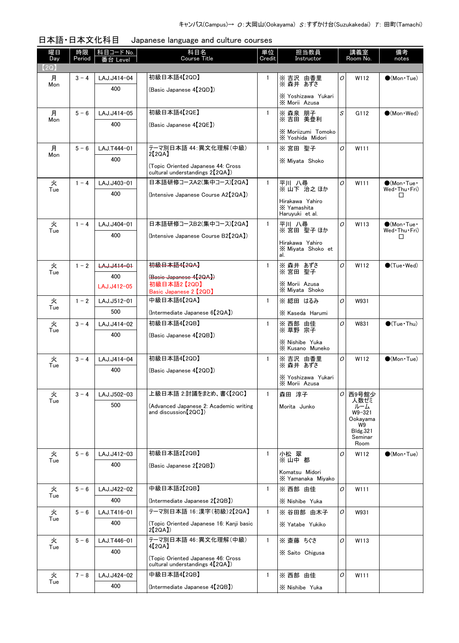| 日本語·日本文化科目 | Japanese language and culture courses |
|------------|---------------------------------------|
|------------|---------------------------------------|

| 曜日<br>Day | 時限<br>Period | 科目コード No.<br>≸台 Level | 科目名<br><b>Course Title</b>                                                         | 単位<br>Credit | 担当教員<br>Instructor                                |               | 講義室<br>Room No.       | 備考<br>notes                 |
|-----------|--------------|-----------------------|------------------------------------------------------------------------------------|--------------|---------------------------------------------------|---------------|-----------------------|-----------------------------|
| (2Q)      |              |                       |                                                                                    |              |                                                   |               |                       |                             |
| 月<br>Mon  | $3 - 4$      | LAJ.J414-04           | 初級日本語4【2QD】                                                                        | 1            | ※ 吉沢 由香里<br>※ 森井 あずさ                              | 0             | W112                  | $\bullet$ (Mon Tue)         |
|           |              | 400                   | (Basic Japanese 4【2QD】)                                                            |              | X Yoshizawa Yukari                                |               |                       |                             |
|           |              |                       |                                                                                    |              | X Morii Azusa                                     |               |                       |                             |
| 月<br>Mon  | $5 - 6$      | LAJ.J414-05           | 初級日本語4【2QE】                                                                        | $\mathbf{1}$ | ※ 森泉 朋子<br>※ 吉田 美登利                               | S             | G112                  | $\bullet$ (Mon · Wed)       |
|           |              | 400                   | (Basic Japanese 4【2QE】)                                                            |              | X Moriizumi Tomoko<br>X Yoshida Midori            |               |                       |                             |
| 月         | $5 - 6$      | LAJ.T444-01           | テーマ別日本語 44: 異文化理解(中級)                                                              | $\mathbf{1}$ | ※宮田 聖子                                            | O             | W111                  |                             |
| Mon       |              | 400                   | 2【2QA】                                                                             |              | X Miyata Shoko                                    |               |                       |                             |
|           |              |                       | (Topic Oriented Japanese 44: Cross<br>cultural understandings 2(2QA)               |              |                                                   |               |                       |                             |
| 火         | $1 - 4$      | LAJ.J403-01           | 日本語研修コースA2(集中コース)【2QA】                                                             | $\mathbf{1}$ | 平川 八尋<br>※山下 治之ほか                                 | 0             | W111                  | $\bigcirc$ (Mon Tue $\cdot$ |
| Tue       |              | 400                   | (Intensive Japanese Course A2【2QA】)                                                |              |                                                   |               |                       | Wed•Thu•Fri)<br>$\Box$      |
|           |              |                       |                                                                                    |              | Hirakawa Yahiro<br>X Yamashita<br>Haruyuki et al. |               |                       |                             |
| 火         | $1 - 4$      | LAJ.J404-01           | 日本語研修コースB2(集中コース)【2QA】                                                             | $\mathbf{1}$ | 平川 八尋                                             | O             | W113                  | $\bigcirc$ (Mon Tue         |
| Tue       |              | 400                   | (Intensive Japanese Course B2【2QA】)                                                |              | ※宮田 聖子ほか                                          |               |                       | Wed Thu Fri)<br>П           |
|           |              |                       |                                                                                    |              | Hirakawa Yahiro<br>X Miyata Shoko et<br>al.       |               |                       |                             |
| 火         | $1 - 2$      | LAJ.J414-01           | <del>初級日本語4【2QA】</del>                                                             | $\mathbf{1}$ | ※ 森井 あずさ<br>※ 宮田 聖子                               | O             | W112                  | $\bigcirc$ (Tue·Wed)        |
| Tue       |              | 400                   | (Basic Japanese 4【2QA】)                                                            |              |                                                   |               |                       |                             |
|           |              | LAJ.J412-05           | 初級日本語2【2QD】                                                                        |              | X Morii Azusa<br>X Miyata Shoko                   |               |                       |                             |
| 火         | $1 - 2$      | LAJ.J512-01           | Basic Japanese 2 【2QD】<br>中級日本語6【2QA】                                              | $\mathbf{1}$ | ※ 綛田 はるみ                                          | O             | W931                  |                             |
| Tue       |              | 500                   | (Intermediate Japanese 6 <sup>[2QA]</sup> )                                        |              | X Kaseda Harumi                                   |               |                       |                             |
| 火         | $3 - 4$      | LAJ.J414-02           | 初級日本語4【2QB】                                                                        | $\mathbf{1}$ |                                                   | O             | W831                  | $\bigcirc$ (Tue · Thu)      |
| Tue       |              | 400                   | (Basic Japanese 4【2QB】)                                                            |              | ※ 西部 由佳<br>※ 草野 宗子                                |               |                       |                             |
|           |              |                       |                                                                                    |              | X Nishibe Yuka<br>X Kusano Muneko                 |               |                       |                             |
| 火         | $3 - 4$      | LAJ.J414-04           | 初級日本語4【2QD】                                                                        | $\mathbf{1}$ | ※吉沢 由香里                                           | 0             | W112                  | $\bigcirc$ (Mon Tue)        |
| Tue       |              | 400                   | (Basic Japanese 4【2QD】)                                                            |              | ※ 森井 あずさ                                          |               |                       |                             |
|           |              |                       |                                                                                    |              | X Yoshizawa Yukari<br>X Morii Azusa               |               |                       |                             |
| 火<br>Tue  | $3 - 4$      | LAJ.J502-03           | 上級日本語 2:討議をまとめ、書く【2QC】                                                             | $\mathbf{1}$ | 森田 淳子                                             | $\sigma$      | 西9号館少<br>人数ゼミ         |                             |
|           |              | 500                   | (Advanced Japanese 2: Academic writing<br>and discussion $[2QC]$                   |              | Morita Junko                                      |               | ルーム                   |                             |
|           |              |                       |                                                                                    |              |                                                   |               | W9-321<br>Ookayama    |                             |
|           |              |                       |                                                                                    |              |                                                   |               | W9<br><b>Bldg.321</b> |                             |
|           |              |                       |                                                                                    |              |                                                   |               | Seminar<br>Room       |                             |
| 火         | $5 - 6$      | LAJ.J412-03           | 初級日本語2【2QB】                                                                        | $\mathbf{1}$ | 小松 翠                                              | 0             | W112                  | $\bigcirc$ (Mon Tue)        |
| Tue       |              | 400                   | (Basic Japanese 2【2QB】)                                                            |              | ※山中 都                                             |               |                       |                             |
|           |              |                       |                                                                                    |              | Komatsu Midori<br>X Yamanaka Miyako               |               |                       |                             |
| 火         | $5 - 6$      | LAJ.J422-02           | 中級日本語2【2QB】                                                                        | $\mathbf{1}$ | ※ 西部 由佳                                           | 0             | W111                  |                             |
| Tue       |              | 400                   | (Intermediate Japanese 2【2QB】)                                                     |              | X Nishibe Yuka                                    |               |                       |                             |
| 火         | $5 - 6$      | LAJ.T416-01           | テーマ別日本語 16:漢字(初級)2【2QA】                                                            | $\mathbf{1}$ | ※ 谷田部 由木子                                         | 0             | W931                  |                             |
| Tue       |              | 400                   | (Topic Oriented Japanese 16: Kanji basic<br>2[2QA]                                 |              | X Yatabe Yukiko                                   |               |                       |                             |
| 火         | $5 - 6$      | LAJ.T446-01           | テーマ別日本語 46:異文化理解(中級)                                                               | $\mathbf{1}$ | ※ 斎藤 ちぐさ                                          | $\mathcal{O}$ | W113                  |                             |
| Tue       |              | 400                   | 4【2QA】                                                                             |              | X Saito Chigusa                                   |               |                       |                             |
|           |              |                       | (Topic Oriented Japanese 46: Cross<br>cultural understandings 4 <sup>[2QA]</sup> ) |              |                                                   |               |                       |                             |
| 火         | $7 - 8$      | LAJ.J424-02           | 中級日本語4【2QB】                                                                        | $\mathbf{1}$ | ※ 西部 由佳                                           | 0             | W111                  |                             |
| Tue       |              | 400                   | (Intermediate Japanese 4 <sup>[2QB]</sup> )                                        |              | X Nishibe Yuka                                    |               |                       |                             |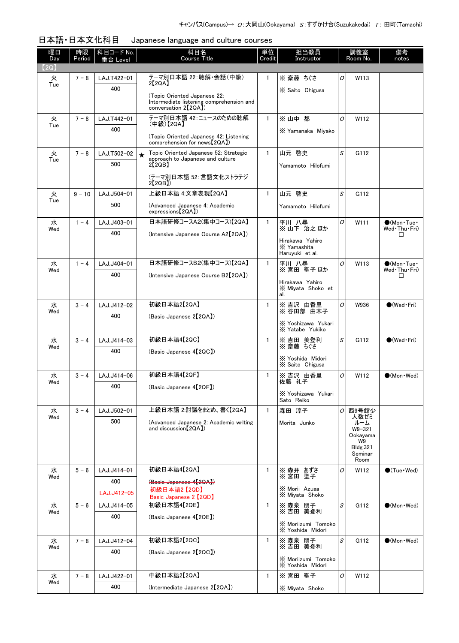| 曜日<br>Day | 時限<br>Period | │科目コード No.│<br>番台 Level | 科目名<br><b>Course Title</b>                                                    | 単位<br>Credit | 担当教員<br>Instructor                                |          | 講義室<br>Room No.           | 備考<br>notes                                 |
|-----------|--------------|-------------------------|-------------------------------------------------------------------------------|--------------|---------------------------------------------------|----------|---------------------------|---------------------------------------------|
| (2Q)      |              |                         |                                                                               |              |                                                   |          |                           |                                             |
| 火<br>Tue  | $7 - 8$      | LAJ.T422-01             | テーマ別日本語 22:聴解・会話(中級)<br>2[2QA]                                                | $\mathbf{1}$ | ※ 斎藤 ちぐさ                                          | 0        | W113                      |                                             |
|           |              | 400                     | (Topic Oriented Japanese 22:                                                  |              | X Saito Chigusa                                   |          |                           |                                             |
|           |              |                         | Intermediate listening comprehension and<br>conversation 2 <sup>[2QA]</sup> ) |              |                                                   |          |                           |                                             |
| 火<br>Tue  | $7 - 8$      | LAJ.T442-01             | テーマ別日本語 42:ニュースのための聴解<br>(中級)【2QA】                                            | $\mathbf{1}$ | ※山中 都                                             | $\Omega$ | W112                      |                                             |
|           |              | 400                     | (Topic Oriented Japanese 42: Listening<br>comprehension for news [2QA])       |              | X Yamanaka Mivako                                 |          |                           |                                             |
| 火         | $7 - 8$      | LAJ.T502-02             | Topic Oriented Japanese 52: Strategic<br>$\star$                              | $\mathbf{1}$ | 山元 啓史                                             | S        | G112                      |                                             |
| Tue       |              | 500                     | approach to Japanese and culture<br>2[2QB]                                    |              | Yamamoto Hilofumi                                 |          |                           |                                             |
|           |              |                         | (テーマ別日本語 52:言語文化ストラテジ<br>2[2QB]                                               |              |                                                   |          |                           |                                             |
| 火<br>Tue  | $9 - 10$     | LAJ.J504-01             | 上級日本語 4:文章表現【2QA】                                                             | $\mathbf{1}$ | 山元 啓史                                             | S        | G112                      |                                             |
|           |              | 500                     | (Advanced Japanese 4: Academic<br>expressions <sup>[2QA])</sup>               |              | Yamamoto Hilofumi                                 |          |                           |                                             |
| 水         | $1 - 4$      | LAJ.J403-01             | 日本語研修コースA2(集中コース)【2QA】                                                        | $\mathbf{1}$ | 平川 八尋                                             | O        | W111                      | $\bigcirc$ (Mon Tue $\cdot$                 |
| Wed       |              | 400                     | (Intensive Japanese Course A2【2QA】)                                           |              | ※山下 治之ほか                                          |          |                           | Wed · Thu · Fri)<br>□                       |
|           |              |                         |                                                                               |              | Hirakawa Yahiro<br>X Yamashita<br>Haruyuki et al. |          |                           |                                             |
| 水<br>Wed  | $1 - 4$      | LAJ.J404-01             | 日本語研修コースB2(集中コース)【2QA】                                                        | $\mathbf{1}$ | 平川 八尋<br>※宮田 聖子ほか                                 | O        | W113                      | $\bigcirc$ (Mon Tue $\cdot$<br>Wed Thu Fri) |
|           |              | 400                     | (Intensive Japanese Course B2[2QA])                                           |              | Hirakawa Yahiro                                   |          |                           | □                                           |
|           |              |                         |                                                                               |              | X Miyata Shoko et<br>al.                          |          |                           |                                             |
| 水         | $3 - 4$      | LAJ.J412-02             | 初級日本語2【2QA】                                                                   | $\mathbf{1}$ | ※吉沢 由香里<br>※ 谷田部 由木子                              | O        | W936                      | $\bullet$ (Wed•Fri)                         |
| Wed       |              | 400                     | (Basic Japanese 2【2QA】)                                                       |              | X Yoshizawa Yukari                                |          |                           |                                             |
|           |              |                         |                                                                               |              | X Yatabe Yukiko                                   |          |                           |                                             |
| 水<br>Wed  | $3 - 4$      | LAJ.J414-03             | 初級日本語4【2QC】                                                                   | $\mathbf{1}$ | ※吉田 美登利<br>※ 斎藤 ちぐさ                               | S        | G112                      | $\bigcirc$ (Wed Fri)                        |
|           |              | 400                     | (Basic Japanese 4【2QC】)                                                       |              | X Yoshida Midori                                  |          |                           |                                             |
|           |              |                         |                                                                               |              | X Saito Chigusa                                   |          |                           |                                             |
| 水<br>Wed  | $3 - 4$      | LAJ.J414-06             | 初級日本語4【2QF】                                                                   | $\mathbf{1}$ | ※吉沢 由香里<br>佐藤 礼子                                  | O        | W112                      | $\bigcirc$ (Mon · Wed)                      |
|           |              | 400                     | (Basic Japanese 4【2QF】)                                                       |              | X Yoshizawa Yukari                                |          |                           |                                             |
|           |              |                         |                                                                               |              | Sato Reiko                                        |          |                           |                                             |
| 水<br>Wed  | $3 - 4$      | LAJ.J502-01             | 上級日本語 2:討議をまとめ、書く【2QA】                                                        | $\mathbf{1}$ | 森田 淳子                                             | 0        | 西9号館少<br>人数ゼミ             |                                             |
|           |              | 500                     | (Advanced Japanese 2: Academic writing<br>and discussion [2QA])               |              | Morita Junko                                      |          | ルーム<br>W9-321<br>Ookavama |                                             |
|           |              |                         |                                                                               |              |                                                   |          | W9<br>Bldg.321            |                                             |
|           |              |                         |                                                                               |              |                                                   |          | Seminar<br>Room           |                                             |
| 水<br>Wed  | $5 - 6$      | LAJ.J414-01             | 初級日本語4【2QA】                                                                   | $\mathbf{1}$ | ※ 森井 あずさ<br>※ 宮田 聖子                               | O        | W112                      | $\bigcirc$ (Tue · Wed)                      |
|           |              | 400                     | (Basic Japanese 4【2QA】)<br>初級日本語2【2QD】                                        |              | X Morii Azusa                                     |          |                           |                                             |
|           |              | LAJ.J412-05             | Basic Japanese 2 [2QD]                                                        |              | X Miyata Shoko                                    |          |                           |                                             |
| 水<br>Wed  | $5 - 6$      | LAJ.J414-05             | 初級日本語4【2QE】                                                                   | $\mathbf{1}$ | ※ 森泉 朋子<br>※吉田 美登利                                | S        | G112                      | $\bigcirc$ (Mon · Wed)                      |
|           |              | 400                     | (Basic Japanese 4【2QE】)                                                       |              | X Moriizumi Tomoko<br>X Yoshida Midori            |          |                           |                                             |
| 水         | $7 - 8$      | LAJ.J412-04             | 初級日本語2【2QC】                                                                   | $\mathbf{1}$ | ※ 森泉 朋子                                           | S        | G112                      | $\bullet$ (Mon $\cdot$ Wed)                 |
| Wed       |              | 400                     | (Basic Japanese 2【2QC】)                                                       |              | ※吉田 美登利                                           |          |                           |                                             |
|           |              |                         |                                                                               |              | X Moriizumi Tomoko<br>X Yoshida Midori            |          |                           |                                             |
| 水<br>Wed  | $7 - 8$      | LAJ.J422-01             | 中級日本語2【2QA】                                                                   | $\mathbf{1}$ | ※宮田 聖子                                            | O        | W112                      |                                             |
|           |              | 400                     | (Intermediate Japanese 2 <sup>[2QA])</sup>                                    |              | X Miyata Shoko                                    |          |                           |                                             |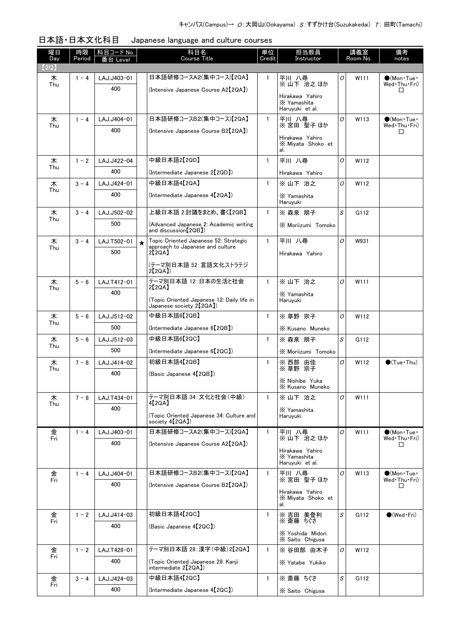| 曜日<br>Day | 時限<br>Period | <u>  科目コード No.  </u><br>番台 Level |         | 科目名<br><b>Course Title</b>                                                | 単位<br>Credit | 担当教員<br>Instructor                  |                | 講義室<br>Room No. | 備考<br>notes                                 |
|-----------|--------------|----------------------------------|---------|---------------------------------------------------------------------------|--------------|-------------------------------------|----------------|-----------------|---------------------------------------------|
| (2Q)      |              |                                  |         |                                                                           |              |                                     |                |                 |                                             |
| 木<br>Thu  | $1 - 4$      | LAJ.J403-01                      |         | 日本語研修コースA2(集中コース)【2QA】                                                    | 1            | 平川 八尋<br>※山下 治之ほか                   | 0              | W111            | $\bigcirc$ (Mon Tue $\cdot$<br>Wed Thu Fri) |
|           |              | 400                              |         | (Intensive Japanese Course A2[2QA])                                       |              | Hirakawa Yahiro                     |                |                 | $\Box$                                      |
|           |              |                                  |         |                                                                           |              | X Yamashita<br>Haruyuki et al.      |                |                 |                                             |
| 木<br>Thu  | $1 - 4$      | LAJ.J404-01                      |         | 日本語研修コースB2(集中コース)【2QA】                                                    | $\mathbf{1}$ | 平川 八尋<br>※宮田 聖子ほか                   | O              | W113            | $\bigcirc$ (Mon Tue $\cdot$<br>Wed Thu Fri) |
|           |              | 400                              |         | (Intensive Japanese Course B2【2QA】)                                       |              | Hirakawa Yahiro                     |                |                 | $\Box$                                      |
|           |              |                                  |         |                                                                           |              | X Miyata Shoko et<br>al.            |                |                 |                                             |
| 木<br>Thu  | $1 - 2$      | LAJ.J422-04                      |         | 中級日本語2【2QD】                                                               | $\mathbf{1}$ | 平川 八尋                               | $\overline{O}$ | W112            |                                             |
|           |              | 400                              |         | (Intermediate Japanese 2(2QD))                                            |              | Hirakawa Yahiro                     |                |                 |                                             |
| 木<br>Thu  | $3 - 4$      | LAJ.J424-01                      |         | 中級日本語4【2QA】                                                               | $\mathbf{1}$ | ※ 山下 治之                             | $\overline{O}$ | W112            |                                             |
|           |              | 400                              |         | (Intermediate Japanese 4 [2QA])                                           |              | X Yamashita<br>Haruvuki             |                |                 |                                             |
| 木<br>Thu  | $3 - 4$      | LAJ.J502-02                      |         | 上級日本語 2:討議をまとめ、書く【2QB】                                                    | $\mathbf{1}$ | ※ 森泉 朋子                             | S              | G112            |                                             |
|           |              | 500                              |         | (Advanced Japanese 2: Academic writing<br>and discussion (20B)            |              | X Moriizumi Tomoko                  |                |                 |                                             |
| 木<br>Thu  | $3 - 4$      | LAJ.T502-01                      | $\star$ | Topic Oriented Japanese 52: Strategic<br>approach to Japanese and culture | $\mathbf{1}$ | 平川 八尋                               | 0              | W931            |                                             |
|           |              | 500                              |         | 2[2QA]                                                                    |              | Hirakawa Yahiro                     |                |                 |                                             |
|           |              |                                  |         | (テーマ別日本語 52:言語文化ストラテジ<br>2[2QA]                                           |              |                                     |                |                 |                                             |
| 木<br>Thu  | $5 - 6$      | LAJ.T412-01                      |         | テーマ別日本語 12:日本の生活と社会<br>2[2QA]                                             | $\mathbf{1}$ | ※ 山下 治之                             | $\overline{O}$ | W111            |                                             |
|           |              | 400                              |         | (Topic Oriented Japanese 12: Daily life in                                |              | X Yamashita<br>Haruyuki             |                |                 |                                             |
|           |              |                                  |         | Japanese society 2【2QA】)                                                  |              |                                     |                |                 |                                             |
| 木<br>Thu  | $5 - 6$      | LAJ.J512-02                      |         | 中級日本語6【2QB】                                                               | $\mathbf{1}$ | ※ 草野 宗子                             | $\overline{O}$ | W112            |                                             |
|           |              | 500                              |         | (Intermediate Japanese 6【2QB】)                                            |              | X Kusano Muneko                     |                |                 |                                             |
| 木<br>Thu  | $5 - 6$      | LAJ.J512-03                      |         | 中級日本語6【2QC】                                                               | $\mathbf{1}$ | ※ 森泉 朋子                             | S              | G112            |                                             |
|           |              | 500                              |         | (Intermediate Japanese 6【2QC】)                                            |              | X Moriizumi Tomoko                  |                |                 |                                             |
| 木<br>Thu  | $7 - 8$      | LAJ.J414-02                      |         | 初級日本語4【2QB】                                                               | $\mathbf{1}$ | ※ 西部 由佳<br>※ 草野 宗子                  | O              | W112            | $\bigcirc$ (Tue · Thu)                      |
|           |              | 400                              |         | (Basic Japanese 4【2QB】)                                                   |              | X Nishibe Yuka                      |                |                 |                                             |
| 木         | $7 - 8$      | LAJ.T434-01                      |         | テーマ別日本語 34: 文化と社会(中級)                                                     | $\mathbf{1}$ | X Kusano Muneko<br>※山下 治之           | 0              | W111            |                                             |
| Thu       |              | 400                              |         | 4[2QA]                                                                    |              |                                     |                |                 |                                             |
|           |              |                                  |         | (Topic Oriented Japanese 34: Culture and<br>society 4 <sup>[2QA]</sup>    |              | X Yamashita<br>Haruyuki             |                |                 |                                             |
| 金<br>Fri  | $1 - 4$      | LAJ.J403-01                      |         | 日本語研修コースA2(集中コース)【2QA】                                                    | $\mathbf{1}$ | 平川 八尋<br>※山下 治之ほか                   | 0              | W111            | $\bigcirc$ (Mon Tue $\cdot$<br>Wed Thu Fri) |
|           |              | 400                              |         | (Intensive Japanese Course A2[2QA])                                       |              | Hirakawa Yahiro                     |                |                 | П                                           |
|           |              |                                  |         |                                                                           |              | X Yamashita<br>Haruyuki et al.      |                |                 |                                             |
| 金<br>Fri  | $1 - 4$      | LAJ.J404-01                      |         | 日本語研修コースB2(集中コース)【2QA】                                                    | $\mathbf{1}$ | 平川 八尋<br>※宮田 聖子ほか                   | O              | W113            | $\bigcirc$ (Mon Tue $\cdot$<br>Wed Thu Fri) |
|           |              | 400                              |         | (Intensive Japanese Course B2[2QA])                                       |              | Hirakawa Yahiro                     |                |                 | □                                           |
|           |              |                                  |         |                                                                           |              | X Miyata Shoko et<br>al.            |                |                 |                                             |
| 金         | $1 - 2$      | LAJ.J414-03                      |         | 初級日本語4【2QC】                                                               | 1            | ※ 吉田 美登利                            | S              | G112            | $\bigcirc$ (Wed Fri)                        |
| Fri       |              | 400                              |         | (Basic Japanese 4【2QC】)                                                   |              | ※ 斎藤 ちぐさ                            |                |                 |                                             |
|           |              |                                  |         |                                                                           |              | X Yoshida Midori<br>X Saito Chigusa |                |                 |                                             |
| 金<br>Fri  | $1 - 2$      | LAJ.T428-01                      |         | テーマ別日本語 28: 漢字(中級)2【2QA】                                                  | $\mathbf{1}$ | ※ 谷田部 由木子                           | O              | W112            |                                             |
|           |              | 400                              |         | (Topic Oriented Japanese 28: Kanji<br>intermediate 2 <sup>[2QA]</sup>     |              | X Yatabe Yukiko                     |                |                 |                                             |
| 金<br>Fri  | $3 - 4$      | LAJ.J424-03                      |         | 中級日本語4【2QC】                                                               | $\mathbf{1}$ | ※ 斎藤 ちぐさ                            | $\mathcal S$   | G112            |                                             |
|           |              | 400                              |         | (Intermediate Japanese 4【2QC】)                                            |              | X Saito Chigusa                     |                |                 |                                             |